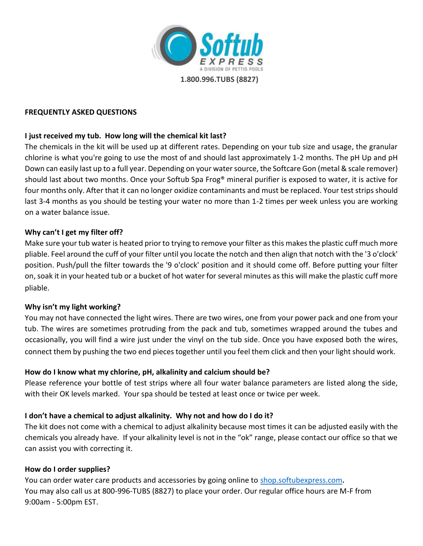

#### **FREQUENTLY ASKED QUESTIONS**

#### **I just received my tub. How long will the chemical kit last?**

The chemicals in the kit will be used up at different rates. Depending on your tub size and usage, the granular chlorine is what you're going to use the most of and should last approximately 1-2 months. The pH Up and pH Down can easily last up to a full year. Depending on your water source, the Softcare Gon (metal & scale remover) should last about two months. Once your Softub Spa Frog® mineral purifier is exposed to water, it is active for four months only. After that it can no longer oxidize contaminants and must be replaced. Your test strips should last 3-4 months as you should be testing your water no more than 1-2 times per week unless you are working on a water balance issue.

#### **Why can't I get my filter off?**

Make sure your tub water is heated prior to trying to remove your filter as this makes the plastic cuff much more pliable. Feel around the cuff of your filter until you locate the notch and then align that notch with the '3 o'clock' position. Push/pull the filter towards the '9 o'clock' position and it should come off. Before putting your filter on, soak it in your heated tub or a bucket of hot water for several minutes as this will make the plastic cuff more pliable.

#### **Why isn't my light working?**

You may not have connected the light wires. There are two wires, one from your power pack and one from your tub. The wires are sometimes protruding from the pack and tub, sometimes wrapped around the tubes and occasionally, you will find a wire just under the vinyl on the tub side. Once you have exposed both the wires, connect them by pushing the two end pieces together until you feel them click and then your light should work.

# **How do I know what my chlorine, pH, alkalinity and calcium should be?**

Please reference your bottle of test strips where all four water balance parameters are listed along the side, with their OK levels marked. Your spa should be tested at least once or twice per week.

# **I don't have a chemical to adjust alkalinity. Why not and how do I do it?**

The kit does not come with a chemical to adjust alkalinity because most times it can be adjusted easily with the chemicals you already have. If your alkalinity level is not in the "ok" range, please contact our office so that we can assist you with correcting it.

#### **How do I order supplies?**

You can order water care products and accessories by going online to [shop.softubexpress.com](http://shop.softubexpress.com/)**.** You may also call us at 800-996-TUBS (8827) to place your order. Our regular office hours are M-F from 9:00am - 5:00pm EST.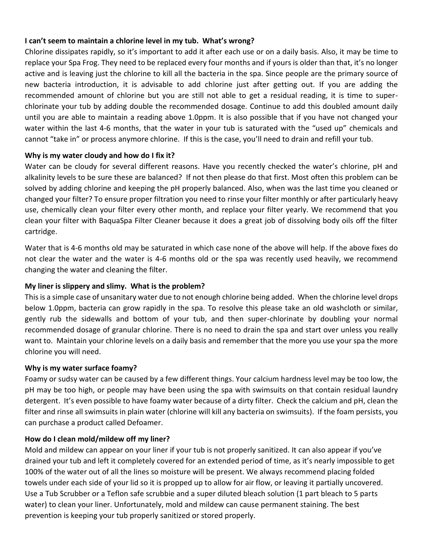# **I can't seem to maintain a chlorine level in my tub. What's wrong?**

Chlorine dissipates rapidly, so it's important to add it after each use or on a daily basis. Also, it may be time to replace your Spa Frog. They need to be replaced every four months and if yours is older than that, it's no longer active and is leaving just the chlorine to kill all the bacteria in the spa. Since people are the primary source of new bacteria introduction, it is advisable to add chlorine just after getting out. If you are adding the recommended amount of chlorine but you are still not able to get a residual reading, it is time to superchlorinate your tub by adding double the recommended dosage. Continue to add this doubled amount daily until you are able to maintain a reading above 1.0ppm. It is also possible that if you have not changed your water within the last 4-6 months, that the water in your tub is saturated with the "used up" chemicals and cannot "take in" or process anymore chlorine. If this is the case, you'll need to drain and refill your tub.

# **Why is my water cloudy and how do I fix it?**

Water can be cloudy for several different reasons. Have you recently checked the water's chlorine, pH and alkalinity levels to be sure these are balanced? If not then please do that first. Most often this problem can be solved by adding chlorine and keeping the pH properly balanced. Also, when was the last time you cleaned or changed your filter? To ensure proper filtration you need to rinse your filter monthly or after particularly heavy use, chemically clean your filter every other month, and replace your filter yearly. We recommend that you clean your filter with BaquaSpa Filter Cleaner because it does a great job of dissolving body oils off the filter cartridge.

Water that is 4-6 months old may be saturated in which case none of the above will help. If the above fixes do not clear the water and the water is 4-6 months old or the spa was recently used heavily, we recommend changing the water and cleaning the filter.

# **My liner is slippery and slimy. What is the problem?**

This is a simple case of unsanitary water due to not enough chlorine being added. When the chlorine level drops below 1.0ppm, bacteria can grow rapidly in the spa. To resolve this please take an old washcloth or similar, gently rub the sidewalls and bottom of your tub, and then super-chlorinate by doubling your normal recommended dosage of granular chlorine. There is no need to drain the spa and start over unless you really want to. Maintain your chlorine levels on a daily basis and remember that the more you use your spa the more chlorine you will need.

# **Why is my water surface foamy?**

Foamy or sudsy water can be caused by a few different things. Your calcium hardness level may be too low, the pH may be too high, or people may have been using the spa with swimsuits on that contain residual laundry detergent. It's even possible to have foamy water because of a dirty filter. Check the calcium and pH, clean the filter and rinse all swimsuits in plain water (chlorine will kill any bacteria on swimsuits). If the foam persists, you can purchase a product called Defoamer.

# **How do I clean mold/mildew off my liner?**

Mold and mildew can appear on your liner if your tub is not properly sanitized. It can also appear if you've drained your tub and left it completely covered for an extended period of time, as it's nearly impossible to get 100% of the water out of all the lines so moisture will be present. We always recommend placing folded towels under each side of your lid so it is propped up to allow for air flow, or leaving it partially uncovered. Use a Tub Scrubber or a Teflon safe scrubbie and a super diluted bleach solution (1 part bleach to 5 parts water) to clean your liner. Unfortunately, mold and mildew can cause permanent staining. The best prevention is keeping your tub properly sanitized or stored properly.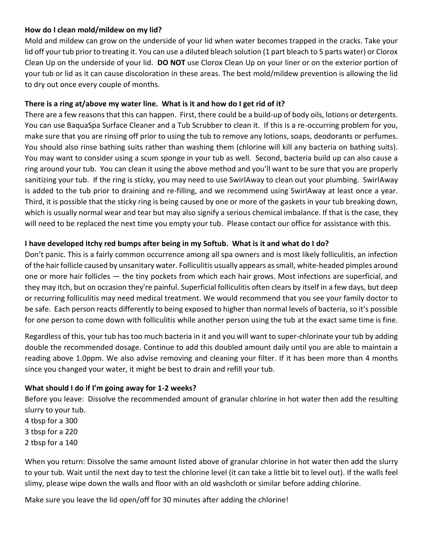#### **How do I clean mold/mildew on my lid?**

Mold and mildew can grow on the underside of your lid when water becomes trapped in the cracks. Take your lid off your tub prior to treating it. You can use a diluted bleach solution (1 part bleach to 5 parts water) or Clorox Clean Up on the underside of your lid. **DO NOT** use Clorox Clean Up on your liner or on the exterior portion of your tub or lid as it can cause discoloration in these areas. The best mold/mildew prevention is allowing the lid to dry out once every couple of months.

#### **There is a ring at/above my water line. What is it and how do I get rid of it?**

There are a few reasons that this can happen. First, there could be a build-up of body oils, lotions or detergents. You can use BaquaSpa Surface Cleaner and a Tub Scrubber to clean it. If this is a re-occurring problem for you, make sure that you are rinsing off prior to using the tub to remove any lotions, soaps, deodorants or perfumes. You should also rinse bathing suits rather than washing them (chlorine will kill any bacteria on bathing suits). You may want to consider using a scum sponge in your tub as well. Second, bacteria build up can also cause a ring around your tub. You can clean it using the above method and you'll want to be sure that you are properly sanitizing your tub. If the ring is sticky, you may need to use SwirlAway to clean out your plumbing. SwirlAway is added to the tub prior to draining and re-filling, and we recommend using SwirlAway at least once a year. Third, it is possible that the sticky ring is being caused by one or more of the gaskets in your tub breaking down, which is usually normal wear and tear but may also signify a serious chemical imbalance. If that is the case, they will need to be replaced the next time you empty your tub. Please contact our office for assistance with this.

# **I have developed itchy red bumps after being in my Softub. What is it and what do I do?**

Don't panic. This is a fairly common occurrence among all spa owners and is most likely folliculitis, an infection of the hair follicle caused by unsanitary water. Folliculitis usually appears as small, white-headed pimples around one or more hair follicles — the tiny pockets from which each hair grows. Most infections are superficial, and they may itch, but on occasion they're painful. Superficial folliculitis often clears by itself in a few days, but deep or recurring folliculitis may need medical treatment. We would recommend that you see your family doctor to be safe. Each person reacts differently to being exposed to higher than normal levels of bacteria, so it's possible for one person to come down with folliculitis while another person using the tub at the exact same time is fine.

Regardless of this, your tub has too much bacteria in it and you will want to super-chlorinate your tub by adding double the recommended dosage. Continue to add this doubled amount daily until you are able to maintain a reading above 1.0ppm. We also advise removing and cleaning your filter. If it has been more than 4 months since you changed your water, it might be best to drain and refill your tub.

# **What should I do if I'm going away for 1-2 weeks?**

Before you leave: Dissolve the recommended amount of granular chlorine in hot water then add the resulting slurry to your tub.

- 4 tbsp for a 300
- 3 tbsp for a 220
- 2 tbsp for a 140

When you return: Dissolve the same amount listed above of granular chlorine in hot water then add the slurry to your tub. Wait until the next day to test the chlorine level (it can take a little bit to level out). If the walls feel slimy, please wipe down the walls and floor with an old washcloth or similar before adding chlorine.

Make sure you leave the lid open/off for 30 minutes after adding the chlorine!